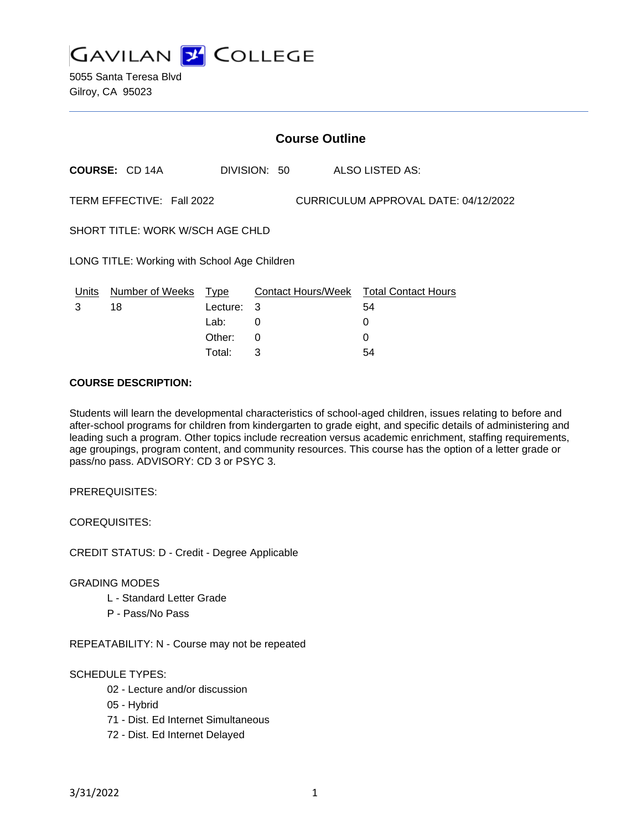

|                                                                   | <b>Course Outline</b> |             |              |  |  |                                        |  |
|-------------------------------------------------------------------|-----------------------|-------------|--------------|--|--|----------------------------------------|--|
|                                                                   | <b>COURSE: CD 14A</b> |             | DIVISION: 50 |  |  | ALSO LISTED AS:                        |  |
| CURRICULUM APPROVAL DATE: 04/12/2022<br>TERM EFFECTIVE: Fall 2022 |                       |             |              |  |  |                                        |  |
| SHORT TITLE: WORK W/SCH AGE CHLD                                  |                       |             |              |  |  |                                        |  |
| LONG TITLE: Working with School Age Children                      |                       |             |              |  |  |                                        |  |
| Units                                                             | Number of Weeks       | <u>Type</u> |              |  |  | Contact Hours/Week Total Contact Hours |  |
| 3                                                                 | 18                    | Lecture:    | 3            |  |  | 54                                     |  |
|                                                                   |                       | Lab:        | 0            |  |  | 0                                      |  |
|                                                                   |                       | Other:      | 0            |  |  | 0                                      |  |
|                                                                   |                       |             |              |  |  |                                        |  |

Total: 3 54

#### **COURSE DESCRIPTION:**

Students will learn the developmental characteristics of school-aged children, issues relating to before and after-school programs for children from kindergarten to grade eight, and specific details of administering and leading such a program. Other topics include recreation versus academic enrichment, staffing requirements, age groupings, program content, and community resources. This course has the option of a letter grade or pass/no pass. ADVISORY: CD 3 or PSYC 3.

PREREQUISITES:

COREQUISITES:

CREDIT STATUS: D - Credit - Degree Applicable

## GRADING MODES

- L Standard Letter Grade
- P Pass/No Pass

REPEATABILITY: N - Course may not be repeated

## SCHEDULE TYPES:

- 02 Lecture and/or discussion
- 05 Hybrid
- 71 Dist. Ed Internet Simultaneous
- 72 Dist. Ed Internet Delayed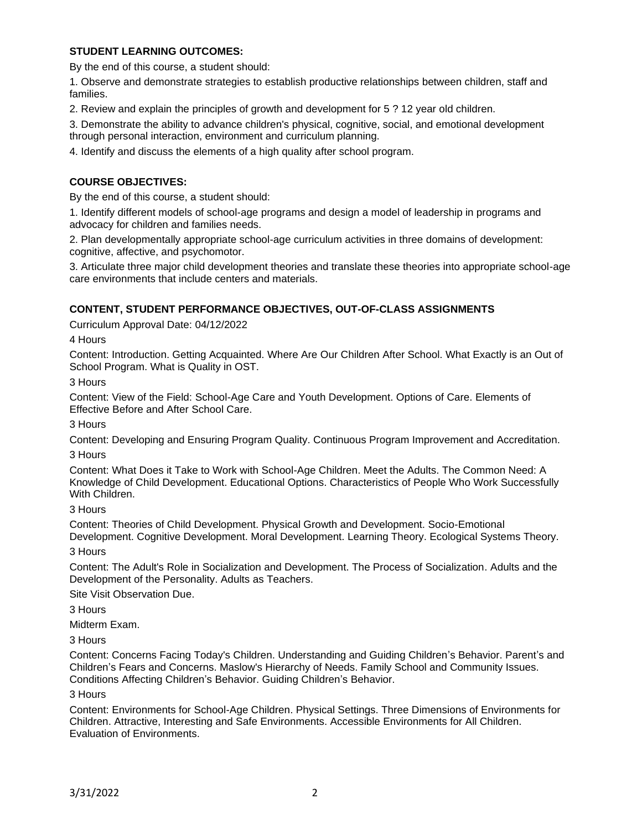## **STUDENT LEARNING OUTCOMES:**

By the end of this course, a student should:

1. Observe and demonstrate strategies to establish productive relationships between children, staff and families.

2. Review and explain the principles of growth and development for 5 ? 12 year old children.

3. Demonstrate the ability to advance children's physical, cognitive, social, and emotional development through personal interaction, environment and curriculum planning.

4. Identify and discuss the elements of a high quality after school program.

## **COURSE OBJECTIVES:**

By the end of this course, a student should:

1. Identify different models of school-age programs and design a model of leadership in programs and advocacy for children and families needs.

2. Plan developmentally appropriate school-age curriculum activities in three domains of development: cognitive, affective, and psychomotor.

3. Articulate three major child development theories and translate these theories into appropriate school-age care environments that include centers and materials.

## **CONTENT, STUDENT PERFORMANCE OBJECTIVES, OUT-OF-CLASS ASSIGNMENTS**

Curriculum Approval Date: 04/12/2022

4 Hours

Content: Introduction. Getting Acquainted. Where Are Our Children After School. What Exactly is an Out of School Program. What is Quality in OST.

3 Hours

Content: View of the Field: School-Age Care and Youth Development. Options of Care. Elements of Effective Before and After School Care.

3 Hours

Content: Developing and Ensuring Program Quality. Continuous Program Improvement and Accreditation. 3 Hours

Content: What Does it Take to Work with School-Age Children. Meet the Adults. The Common Need: A Knowledge of Child Development. Educational Options. Characteristics of People Who Work Successfully With Children.

3 Hours

Content: Theories of Child Development. Physical Growth and Development. Socio-Emotional Development. Cognitive Development. Moral Development. Learning Theory. Ecological Systems Theory.

3 Hours

Content: The Adult's Role in Socialization and Development. The Process of Socialization. Adults and the Development of the Personality. Adults as Teachers.

Site Visit Observation Due.

3 Hours

Midterm Exam.

3 Hours

Content: Concerns Facing Today's Children. Understanding and Guiding Children's Behavior. Parent's and Children's Fears and Concerns. Maslow's Hierarchy of Needs. Family School and Community Issues. Conditions Affecting Children's Behavior. Guiding Children's Behavior.

3 Hours

Content: Environments for School-Age Children. Physical Settings. Three Dimensions of Environments for Children. Attractive, Interesting and Safe Environments. Accessible Environments for All Children. Evaluation of Environments.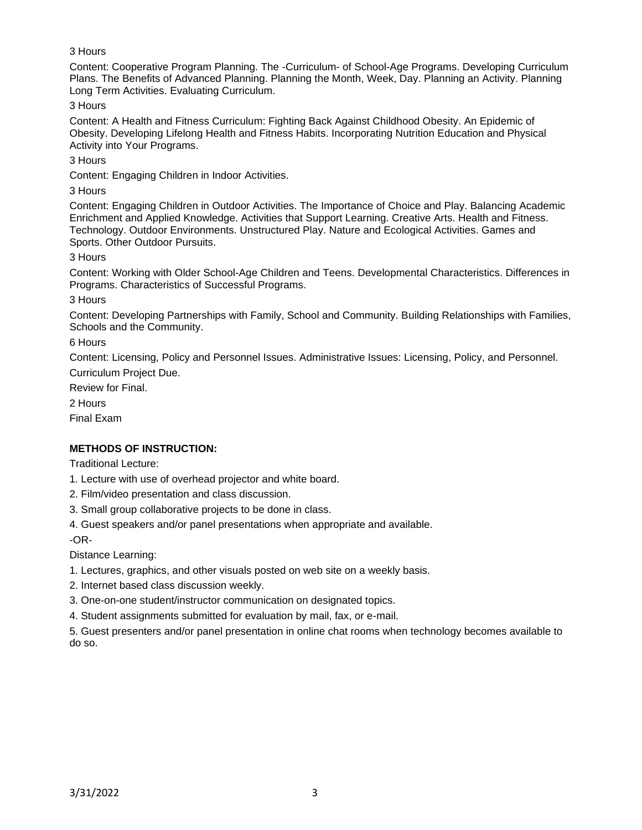# 3 Hours

Content: Cooperative Program Planning. The -Curriculum- of School-Age Programs. Developing Curriculum Plans. The Benefits of Advanced Planning. Planning the Month, Week, Day. Planning an Activity. Planning Long Term Activities. Evaluating Curriculum.

3 Hours

Content: A Health and Fitness Curriculum: Fighting Back Against Childhood Obesity. An Epidemic of Obesity. Developing Lifelong Health and Fitness Habits. Incorporating Nutrition Education and Physical Activity into Your Programs.

3 Hours

Content: Engaging Children in Indoor Activities.

3 Hours

Content: Engaging Children in Outdoor Activities. The Importance of Choice and Play. Balancing Academic Enrichment and Applied Knowledge. Activities that Support Learning. Creative Arts. Health and Fitness. Technology. Outdoor Environments. Unstructured Play. Nature and Ecological Activities. Games and Sports. Other Outdoor Pursuits.

3 Hours

Content: Working with Older School-Age Children and Teens. Developmental Characteristics. Differences in Programs. Characteristics of Successful Programs.

3 Hours

Content: Developing Partnerships with Family, School and Community. Building Relationships with Families, Schools and the Community.

6 Hours

Content: Licensing, Policy and Personnel Issues. Administrative Issues: Licensing, Policy, and Personnel. Curriculum Project Due.

Review for Final.

2 Hours

Final Exam

## **METHODS OF INSTRUCTION:**

Traditional Lecture:

1. Lecture with use of overhead projector and white board.

2. Film/video presentation and class discussion.

3. Small group collaborative projects to be done in class.

4. Guest speakers and/or panel presentations when appropriate and available.

-OR-

Distance Learning:

1. Lectures, graphics, and other visuals posted on web site on a weekly basis.

2. Internet based class discussion weekly.

3. One-on-one student/instructor communication on designated topics.

4. Student assignments submitted for evaluation by mail, fax, or e-mail.

5. Guest presenters and/or panel presentation in online chat rooms when technology becomes available to do so.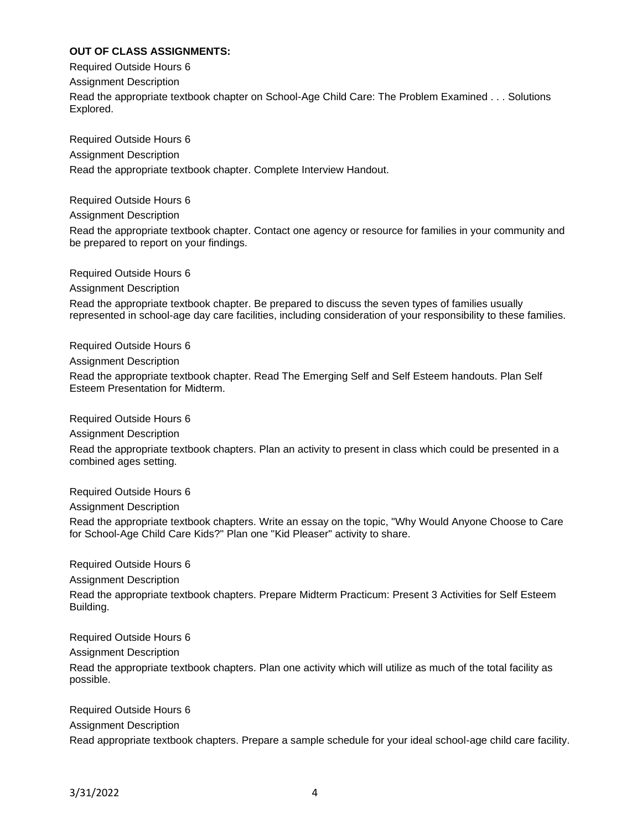# **OUT OF CLASS ASSIGNMENTS:**

Required Outside Hours 6 Assignment Description Read the appropriate textbook chapter on School-Age Child Care: The Problem Examined . . . Solutions Explored.

Required Outside Hours 6 Assignment Description Read the appropriate textbook chapter. Complete Interview Handout.

Required Outside Hours 6

Assignment Description

Read the appropriate textbook chapter. Contact one agency or resource for families in your community and be prepared to report on your findings.

Required Outside Hours 6

Assignment Description

Read the appropriate textbook chapter. Be prepared to discuss the seven types of families usually represented in school-age day care facilities, including consideration of your responsibility to these families.

Required Outside Hours 6 Assignment Description Read the appropriate textbook chapter. Read The Emerging Self and Self Esteem handouts. Plan Self Esteem Presentation for Midterm.

Required Outside Hours 6

Assignment Description

Read the appropriate textbook chapters. Plan an activity to present in class which could be presented in a combined ages setting.

Required Outside Hours 6

Assignment Description

Read the appropriate textbook chapters. Write an essay on the topic, "Why Would Anyone Choose to Care for School-Age Child Care Kids?" Plan one "Kid Pleaser" activity to share.

Required Outside Hours 6

Assignment Description

Read the appropriate textbook chapters. Prepare Midterm Practicum: Present 3 Activities for Self Esteem Building.

Required Outside Hours 6 Assignment Description Read the appropriate textbook chapters. Plan one activity which will utilize as much of the total facility as possible.

Required Outside Hours 6 Assignment Description Read appropriate textbook chapters. Prepare a sample schedule for your ideal school-age child care facility.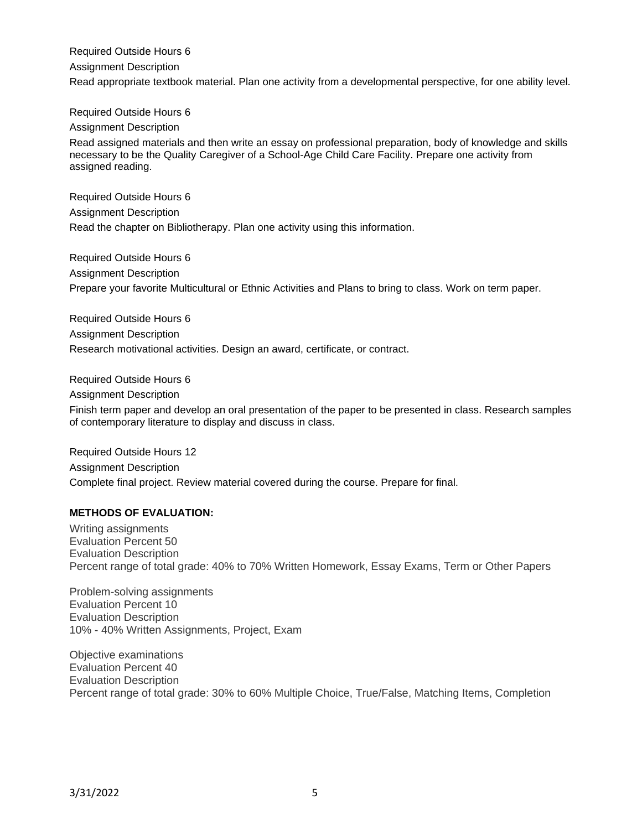Required Outside Hours 6 Assignment Description Read appropriate textbook material. Plan one activity from a developmental perspective, for one ability level.

Required Outside Hours 6

Assignment Description

Read assigned materials and then write an essay on professional preparation, body of knowledge and skills necessary to be the Quality Caregiver of a School-Age Child Care Facility. Prepare one activity from assigned reading.

Required Outside Hours 6 Assignment Description Read the chapter on Bibliotherapy. Plan one activity using this information.

Required Outside Hours 6 Assignment Description Prepare your favorite Multicultural or Ethnic Activities and Plans to bring to class. Work on term paper.

Required Outside Hours 6 Assignment Description Research motivational activities. Design an award, certificate, or contract.

Required Outside Hours 6 Assignment Description Finish term paper and develop an oral presentation of the paper to be presented in class. Research samples of contemporary literature to display and discuss in class.

Required Outside Hours 12 Assignment Description Complete final project. Review material covered during the course. Prepare for final.

## **METHODS OF EVALUATION:**

Writing assignments Evaluation Percent 50 Evaluation Description Percent range of total grade: 40% to 70% Written Homework, Essay Exams, Term or Other Papers

Problem-solving assignments Evaluation Percent 10 Evaluation Description 10% - 40% Written Assignments, Project, Exam

Objective examinations Evaluation Percent 40 Evaluation Description Percent range of total grade: 30% to 60% Multiple Choice, True/False, Matching Items, Completion